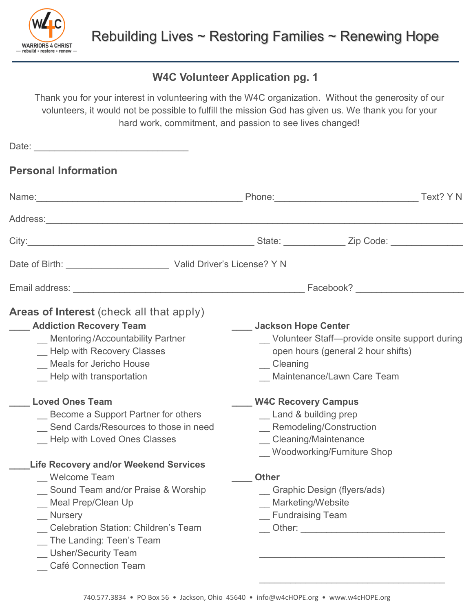

## **W4C Volunteer Application pg. 1**

Thank you for your interest in volunteering with the W4C organization. Without the generosity of our volunteers, it would not be possible to fulfill the mission God has given us. We thank you for your hard work, commitment, and passion to see lives changed!

| <b>Personal Information</b>                                                                                                                                                                                                                                                                                                                                                                                                                                                                                                                                                              |                                                                                                                                                                                                                                                                                                                                                                                                                                                                   |
|------------------------------------------------------------------------------------------------------------------------------------------------------------------------------------------------------------------------------------------------------------------------------------------------------------------------------------------------------------------------------------------------------------------------------------------------------------------------------------------------------------------------------------------------------------------------------------------|-------------------------------------------------------------------------------------------------------------------------------------------------------------------------------------------------------------------------------------------------------------------------------------------------------------------------------------------------------------------------------------------------------------------------------------------------------------------|
| Name: Text? Y N                                                                                                                                                                                                                                                                                                                                                                                                                                                                                                                                                                          |                                                                                                                                                                                                                                                                                                                                                                                                                                                                   |
|                                                                                                                                                                                                                                                                                                                                                                                                                                                                                                                                                                                          |                                                                                                                                                                                                                                                                                                                                                                                                                                                                   |
|                                                                                                                                                                                                                                                                                                                                                                                                                                                                                                                                                                                          |                                                                                                                                                                                                                                                                                                                                                                                                                                                                   |
|                                                                                                                                                                                                                                                                                                                                                                                                                                                                                                                                                                                          |                                                                                                                                                                                                                                                                                                                                                                                                                                                                   |
|                                                                                                                                                                                                                                                                                                                                                                                                                                                                                                                                                                                          |                                                                                                                                                                                                                                                                                                                                                                                                                                                                   |
| <b>Areas of Interest</b> (check all that apply)<br><b>Addiction Recovery Team</b><br>_ Mentoring/Accountability Partner<br>_ Help with Recovery Classes<br><b>Meals for Jericho House</b><br>Help with transportation<br><b>Loved Ones Team</b><br>Become a Support Partner for others<br>Send Cards/Resources to those in need<br>Help with Loved Ones Classes<br><b>Life Recovery and/or Weekend Services</b><br>Welcome Team<br>Sound Team and/or Praise & Worship<br>Meal Prep/Clean Up<br><b>Nursery</b><br><b>Celebration Station: Children's Team</b><br>The Landing: Teen's Team | <b>Jackson Hope Center</b><br>_ Volunteer Staff-provide onsite support during<br>open hours (general 2 hour shifts)<br>_ Cleaning<br>Maintenance/Lawn Care Team<br><b>W4C Recovery Campus</b><br>_ Land & building prep<br>_ Remodeling/Construction<br>_ Cleaning/Maintenance<br>_ Woodworking/Furniture Shop<br><b>Other</b><br>_ Graphic Design (flyers/ads)<br>__ Marketing/Website<br><b>Fundraising Team</b><br>__ Other: _________________________________ |
| Usher/Security Team<br><b>Café Connection Team</b>                                                                                                                                                                                                                                                                                                                                                                                                                                                                                                                                       |                                                                                                                                                                                                                                                                                                                                                                                                                                                                   |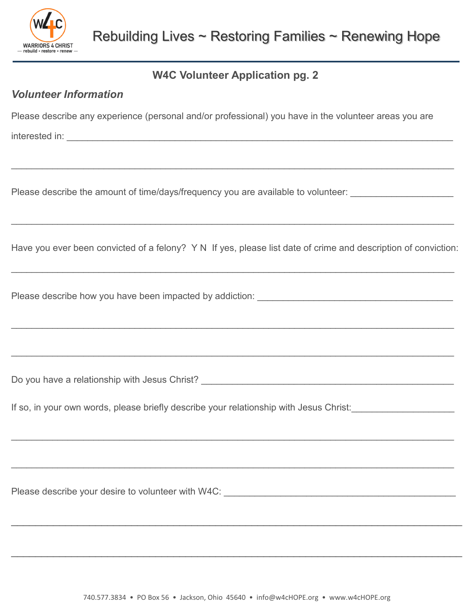

## **W4C Volunteer Application pg. 2**

## *Volunteer Information*

Please describe any experience (personal and/or professional) you have in the volunteer areas you are

interested in: \_\_\_\_\_\_\_\_\_\_\_\_\_\_\_\_\_\_\_\_\_\_\_\_\_\_\_\_\_\_\_\_\_\_\_\_\_\_\_\_\_\_\_\_\_\_\_\_\_\_\_\_\_\_\_\_\_\_\_\_\_\_\_\_\_\_\_\_\_\_\_\_\_\_\_

Please describe the amount of time/days/frequency you are available to volunteer:

Have you ever been convicted of a felony? Y N If yes, please list date of crime and description of conviction:

 $\_$  , and the set of the set of the set of the set of the set of the set of the set of the set of the set of the set of the set of the set of the set of the set of the set of the set of the set of the set of the set of th

 $\_$  , and the set of the set of the set of the set of the set of the set of the set of the set of the set of the set of the set of the set of the set of the set of the set of the set of the set of the set of the set of th

 $\_$  , and the set of the set of the set of the set of the set of the set of the set of the set of the set of the set of the set of the set of the set of the set of the set of the set of the set of the set of the set of th

 $\_$  , and the set of the set of the set of the set of the set of the set of the set of the set of the set of the set of the set of the set of the set of the set of the set of the set of the set of the set of the set of th

 $\_$  , and the set of the set of the set of the set of the set of the set of the set of the set of the set of the set of the set of the set of the set of the set of the set of the set of the set of the set of the set of th

 $\_$  , and the contribution of the contribution of the contribution of the contribution of  $\mathcal{L}_\mathcal{A}$ 

 $\_$  , and the contribution of the contribution of the contribution of the contribution of the contribution of  $\mathcal{L}$ 

 $\_$  ,  $\_$  ,  $\_$  ,  $\_$  ,  $\_$  ,  $\_$  ,  $\_$  ,  $\_$  ,  $\_$  ,  $\_$  ,  $\_$  ,  $\_$  ,  $\_$  ,  $\_$  ,  $\_$  ,  $\_$  ,  $\_$  ,  $\_$  ,  $\_$  ,  $\_$  ,  $\_$  ,  $\_$  ,  $\_$  ,  $\_$  ,  $\_$  ,  $\_$  ,  $\_$  ,  $\_$  ,  $\_$  ,  $\_$  ,  $\_$  ,  $\_$  ,  $\_$  ,  $\_$  ,  $\_$  ,  $\_$  ,  $\_$  ,

 $\_$  ,  $\_$  ,  $\_$  ,  $\_$  ,  $\_$  ,  $\_$  ,  $\_$  ,  $\_$  ,  $\_$  ,  $\_$  ,  $\_$  ,  $\_$  ,  $\_$  ,  $\_$  ,  $\_$  ,  $\_$  ,  $\_$  ,  $\_$  ,  $\_$  ,  $\_$  ,  $\_$  ,  $\_$  ,  $\_$  ,  $\_$  ,  $\_$  ,  $\_$  ,  $\_$  ,  $\_$  ,  $\_$  ,  $\_$  ,  $\_$  ,  $\_$  ,  $\_$  ,  $\_$  ,  $\_$  ,  $\_$  ,  $\_$  ,

Please describe how you have been impacted by addiction:

Do you have a relationship with Jesus Christ? \_\_\_\_\_\_\_\_\_\_\_\_\_\_\_\_\_\_\_\_\_\_\_\_\_\_\_\_\_\_\_\_\_\_

If so, in your own words, please briefly describe your relationship with Jesus Christ:

Please describe your desire to volunteer with W4C: